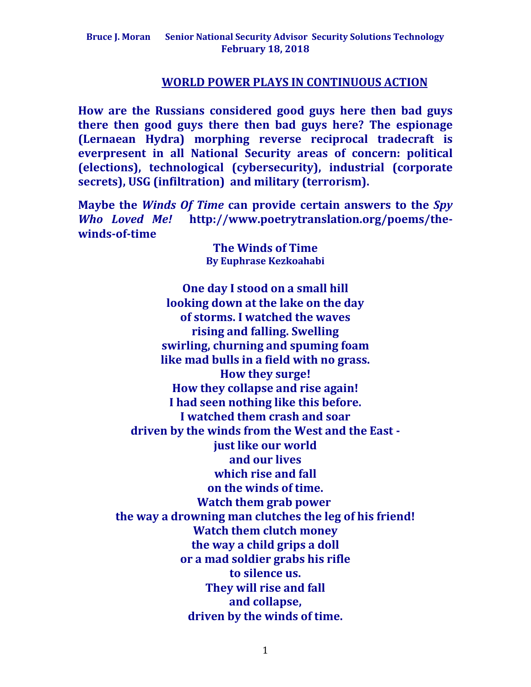#### **WORLD POWER PLAYS IN CONTINUOUS ACTION**

**How are the Russians considered good guys here then bad guys there then good guys there then bad guys here? The espionage (Lernaean Hydra) morphing reverse reciprocal tradecraft is everpresent in all National Security areas of concern: political (elections), technological (cybersecurity), industrial (corporate secrets), USG (infiltration) and military (terrorism).** 

**Maybe the** *Winds Of Time* **can provide certain answers to the** *Spy Who Loved Me!* **http://www.poetrytranslation.org/poems/thewinds-of-time**

> **The Winds of Time By Euphrase Kezkoahabi**

**One day I stood on a small hill looking down at the lake on the day of storms. I watched the waves rising and falling. Swelling swirling, churning and spuming foam like mad bulls in a field with no grass. How they surge! How they collapse and rise again! I had seen nothing like this before. I watched them crash and soar driven by the winds from the West and the East just like our world and our lives which rise and fall on the winds of time. Watch them grab power the way a drowning man clutches the leg of his friend! Watch them clutch money the way a child grips a doll or a mad soldier grabs his rifle to silence us. They will rise and fall and collapse, driven by the winds of time.**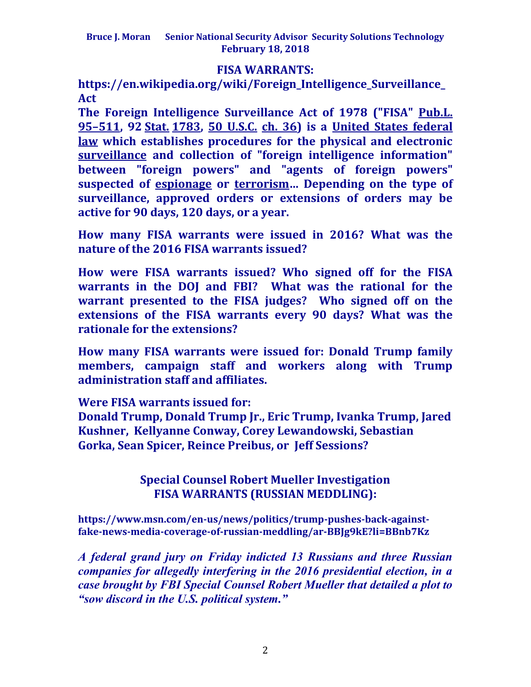## **FISA WARRANTS:**

**https://en.wikipedia.org/wiki/Foreign\_Intelligence\_Surveillance\_ Act**

**The Foreign Intelligence Surveillance Act of 1978 ("FISA" [Pub.L.](http://legislink.org/us/pl-95-511)  95–[511,](http://legislink.org/us/pl-95-511) 92 [Stat.](https://en.wikipedia.org/wiki/United_States_Statutes_at_Large) [1783,](http://legislink.org/us/stat-92-1783) [50 U.S.C.](https://en.wikipedia.org/wiki/Title_50_of_the_United_States_Code) [ch. 36\)](https://www.law.cornell.edu/uscode/text/50/chapter-36) is a [United States federal](https://en.wikipedia.org/wiki/Law_of_the_United_States)  [law](https://en.wikipedia.org/wiki/Law_of_the_United_States) which establishes procedures for the physical and electronic [surveillance](https://en.wikipedia.org/wiki/Surveillance) and collection of "foreign intelligence information" between "foreign powers" and "agents of foreign powers" suspected of [espionage](https://en.wikipedia.org/wiki/Espionage) or [terrorism](https://en.wikipedia.org/wiki/Terrorism)… Depending on the type of surveillance, approved orders or extensions of orders may be active for 90 days, 120 days, or a year.**

**How many FISA warrants were issued in 2016? What was the nature of the 2016 FISA warrants issued?**

**How were FISA warrants issued? Who signed off for the FISA warrants in the DOJ and FBI? What was the rational for the warrant presented to the FISA judges? Who signed off on the extensions of the FISA warrants every 90 days? What was the rationale for the extensions?**

**How many FISA warrants were issued for: Donald Trump family members, campaign staff and workers along with Trump administration staff and affiliates.** 

**Were FISA warrants issued for:**

**Donald Trump, Donald Trump Jr., Eric Trump, Ivanka Trump, Jared Kushner, Kellyanne Conway, Corey Lewandowski, Sebastian Gorka, Sean Spicer, Reince Preibus, or Jeff Sessions?**

# **Special Counsel Robert Mueller Investigation FISA WARRANTS (RUSSIAN MEDDLING):**

**https://www.msn.com/en-us/news/politics/trump-pushes-back-againstfake-news-media-coverage-of-russian-meddling/ar-BBJg9kE?li=BBnb7Kz**

*A federal grand jury on Friday indicted 13 Russians and three Russian companies for allegedly interfering in the 2016 presidential election, in a case brought by FBI Special Counsel Robert Mueller that detailed a plot to "sow discord in the U.S. political system."*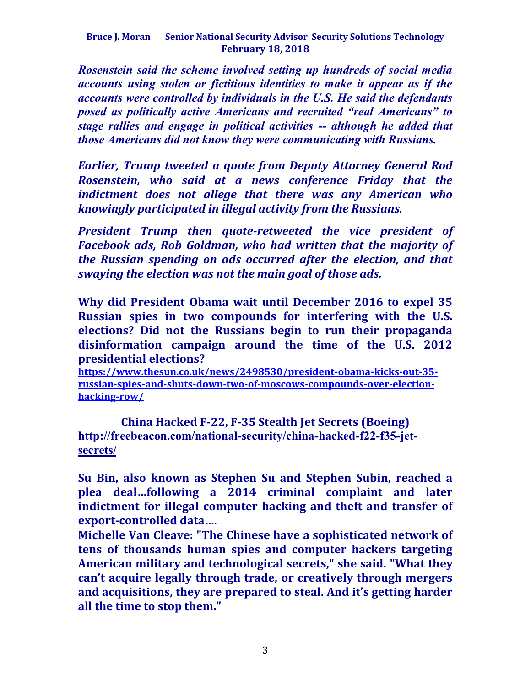*Rosenstein said the scheme involved setting up hundreds of social media accounts using stolen or fictitious identities to make it appear as if the accounts were controlled by individuals in the U.S. He said the defendants posed as politically active Americans and recruited "real Americans" to stage rallies and engage in political activities -- although he added that those Americans did not know they were communicating with Russians.*

*Earlier, Trump tweeted a quote from Deputy Attorney General Rod Rosenstein, who said at a news conference Friday that the indictment does not allege that there was any American who knowingly participated in illegal activity from the Russians.*

*President Trump then quote-retweeted the vice president of Facebook ads, Rob Goldman, who had written that the majority of the Russian spending on ads occurred after the election, and that swaying the election was not the main goal of those ads.*

**Why did President Obama wait until December 2016 to expel 35 Russian spies in two compounds for interfering with the U.S. elections? Did not the Russians begin to run their propaganda disinformation campaign around the time of the U.S. 2012 presidential elections?**

**[https://www.thesun.co.uk/news/2498530/president-obama-kicks-out-35](https://www.thesun.co.uk/news/2498530/president-obama-kicks-out-35-russian-spies-and-shuts-down-two-of-moscows-compounds-over-election-hacking-row/) [russian-spies-and-shuts-down-two-of-moscows-compounds-over-election](https://www.thesun.co.uk/news/2498530/president-obama-kicks-out-35-russian-spies-and-shuts-down-two-of-moscows-compounds-over-election-hacking-row/)[hacking-row/](https://www.thesun.co.uk/news/2498530/president-obama-kicks-out-35-russian-spies-and-shuts-down-two-of-moscows-compounds-over-election-hacking-row/)**

**China Hacked F-22, F-35 Stealth Jet Secrets (Boeing) http://freebeacon.com/national-security/china-hacked-f22-f35-jetsecrets/**

**Su Bin, also known as Stephen Su and Stephen Subin, reached a plea deal…following a 2014 criminal complaint and later indictment for illegal computer hacking and theft and transfer of export-controlled data….** 

**Michelle Van Cleave: "The Chinese have a sophisticated network of tens of thousands human spies and computer hackers targeting American military and technological secrets," she said. "What they can't acquire legally through trade, or creatively through mergers and acquisitions, they are prepared to steal. And it's getting harder all the time to stop them."**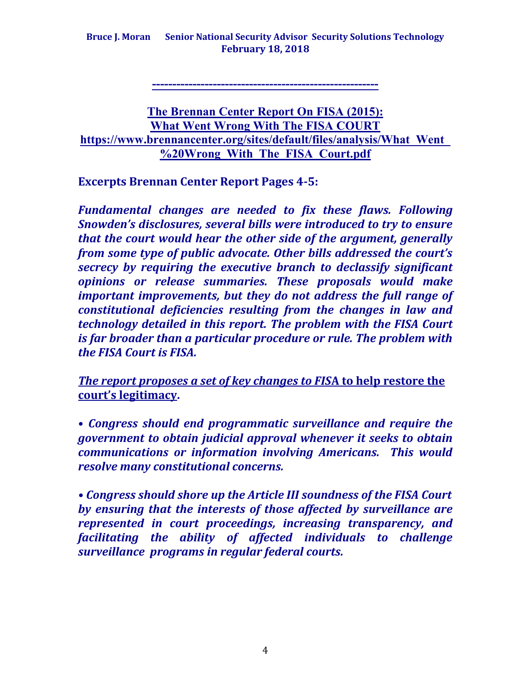**--------------------------------------------------------**

## **The Brennan Center Report On FISA (2015): What Went Wrong With The FISA COURT https://www.brennancenter.org/sites/default/files/analysis/What\_Went\_ %20Wrong\_With\_The\_FISA\_Court.pdf**

**Excerpts Brennan Center Report Pages 4-5:**

*Fundamental changes are needed to fix these flaws. Following Snowden's disclosures, several bills were introduced to try to ensure that the court would hear the other side of the argument, generally from some type of public advocate. Other bills addressed the court's secrecy by requiring the executive branch to declassify significant opinions or release summaries. These proposals would make important improvements, but they do not address the full range of constitutional deficiencies resulting from the changes in law and technology detailed in this report. The problem with the FISA Court is far broader than a particular procedure or rule. The problem with the FISA Court is FISA.*

*The report proposes a set of key changes to FIS***A to help restore the court's legitimacy.** 

**•** *Congress should end programmatic surveillance and require the government to obtain judicial approval whenever it seeks to obtain communications or information involving Americans. This would resolve many constitutional concerns.* 

*• Congress should shore up the Article III soundness of the FISA Court by ensuring that the interests of those affected by surveillance are represented in court proceedings, increasing transparency, and facilitating the ability of affected individuals to challenge surveillance programs in regular federal courts.*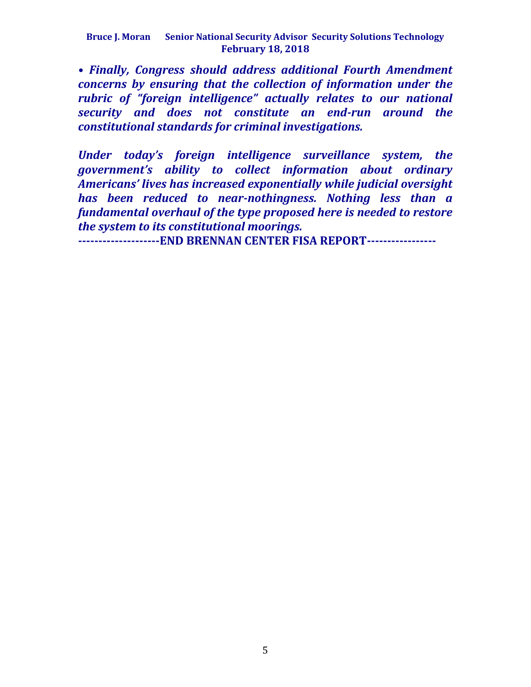*• Finally, Congress should address additional Fourth Amendment concerns by ensuring that the collection of information under the rubric of "foreign intelligence" actually relates to our national security and does not constitute an end-run around the constitutional standards for criminal investigations.*

*Under today's foreign intelligence surveillance system, the government's ability to collect information about ordinary Americans' lives has increased exponentially while judicial oversight has been reduced to near-nothingness. Nothing less than a fundamental overhaul of the type proposed here is needed to restore the system to its constitutional moorings.* 

**--------------------END BRENNAN CENTER FISA REPORT-----------------**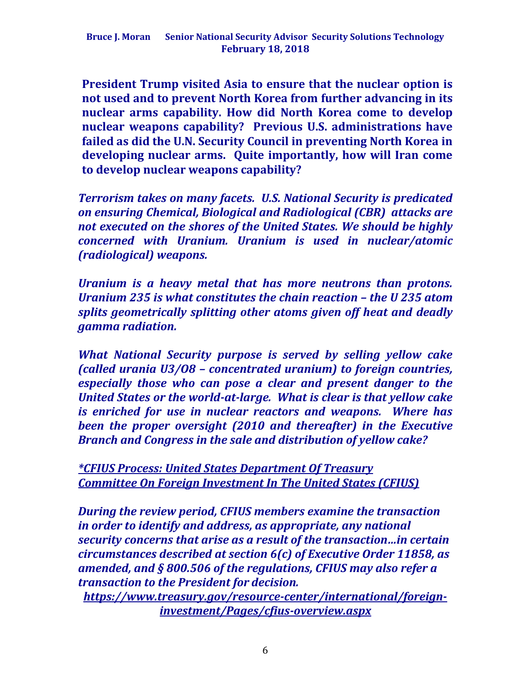**President Trump visited Asia to ensure that the nuclear option is not used and to prevent North Korea from further advancing in its nuclear arms capability. How did North Korea come to develop nuclear weapons capability? Previous U.S. administrations have failed as did the U.N. Security Council in preventing North Korea in developing nuclear arms. Quite importantly, how will Iran come to develop nuclear weapons capability?** 

*Terrorism takes on many facets. U.S. National Security is predicated on ensuring Chemical, Biological and Radiological (CBR) attacks are not executed on the shores of the United States. We should be highly concerned with Uranium. Uranium is used in nuclear/atomic (radiological) weapons.*

*Uranium is a heavy metal that has more neutrons than protons. Uranium 235 is what constitutes the chain reaction – the U 235 atom splits geometrically splitting other atoms given off heat and deadly gamma radiation.* 

*What National Security purpose is served by selling yellow cake (called urania U3/O8 – concentrated uranium) to foreign countries, especially those who can pose a clear and present danger to the United States or the world-at-large. What is clear is that yellow cake is enriched for use in nuclear reactors and weapons. Where has been the proper oversight (2010 and thereafter) in the Executive Branch and Congress in the sale and distribution of yellow cake?*

*\*CFIUS Process: United States Department Of Treasury Committee On Foreign Investment In The United States (CFIUS)*

*During the review period, CFIUS members examine the transaction in order to identify and address, as appropriate, any national security concerns that arise as a result of the transaction…in certain circumstances described at section 6(c) of Executive Order 11858, as amended, and § 800.506 of the regulations, CFIUS may also refer a transaction to the President for decision.*

*https://www.treasury.gov/resource-center/international/foreigninvestment/Pages/cfius-overview.aspx*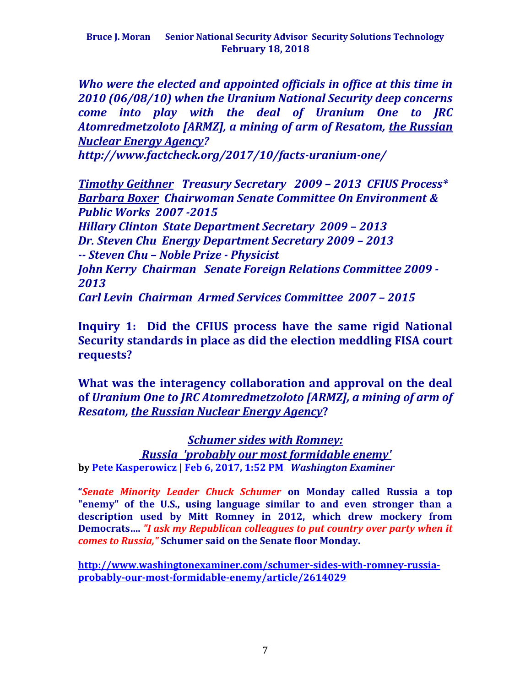*Who were the elected and appointed officials in office at this time in 2010 (06/08/10) when the Uranium National Security deep concerns come into play with the deal of Uranium One to JRC Atomredmetzoloto [ARMZ], a mining of arm of Resatom, the Russian Nuclear Energy Agency?*

*http://www.factcheck.org/2017/10/facts-uranium-one/*

*Timothy Geithner Treasury Secretary 2009 – 2013 CFIUS Process\* Barbara Boxer Chairwoman Senate Committee On Environment & Public Works 2007 -2015*

*Hillary Clinton State Department Secretary 2009 – 2013 Dr. Steven Chu Energy Department Secretary 2009 – 2013 -- Steven Chu – Noble Prize - Physicist John Kerry Chairman Senate Foreign Relations Committee 2009 - 2013 Carl Levin Chairman Armed Services Committee 2007 – 2015*

**Inquiry 1: Did the CFIUS process have the same rigid National Security standards in place as did the election meddling FISA court requests?** 

**What was the interagency collaboration and approval on the deal of** *Uranium One to JRC Atomredmetzoloto [ARMZ], a mining of arm of Resatom, the Russian Nuclear Energy Agency***?**

*Schumer sides with Romney: Russia 'probably our most formidable enemy'* **by [Pete Kasperowicz](http://www.washingtonexaminer.com/author/pete-kasperowicz) | [Feb 6, 2017, 1:52 PM](http://www.washingtonexaminer.com/schumer-sides-with-romney-russia-probably-our-most-formidable-enemy/article/2614029)** *Washington Examiner*

**"***Senate Minority Leader Chuck Schumer* **on Monday called Russia a top "enemy" of the U.S., using language similar to and even stronger than a description used by Mitt Romney in 2012, which drew mockery from Democrats….** *"I ask my Republican colleagues to put country over party when it comes to Russia,"* **Schumer said on the Senate floor Monday.**

**[http://www.washingtonexaminer.com/schumer-sides-with-romney-russia](http://www.washingtonexaminer.com/schumer-sides-with-romney-russia-probably-our-most-formidable-enemy/article/2614029)[probably-our-most-formidable-enemy/article/2614029](http://www.washingtonexaminer.com/schumer-sides-with-romney-russia-probably-our-most-formidable-enemy/article/2614029)**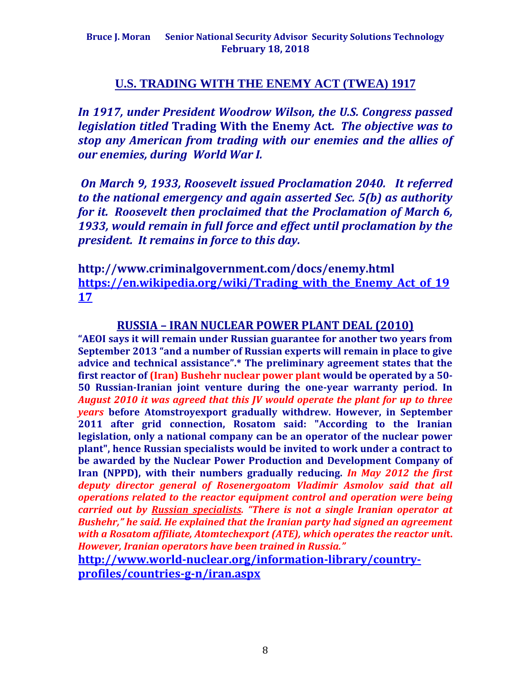#### **U.S. TRADING WITH THE ENEMY ACT (TWEA) 1917**

*In 1917, under President Woodrow Wilson, the U.S. Congress passed legislation titled* **Trading With the Enemy Act***. The objective was to stop any American from trading with our enemies and the allies of our enemies, during World War I.*

*On March 9, 1933, Roosevelt issued Proclamation 2040. It referred to the national emergency and again asserted Sec. 5(b) as authority for it. Roosevelt then proclaimed that the Proclamation of March 6, 1933, would remain in full force and effect until proclamation by the president. It remains in force to this day.*

**http://www.criminalgovernment.com/docs/enemy.html [https://en.wikipedia.org/wiki/Trading\\_with\\_the\\_Enemy\\_Act\\_of\\_19](https://en.wikipedia.org/wiki/Trading_with_the_Enemy_Act_of_1917) [17](https://en.wikipedia.org/wiki/Trading_with_the_Enemy_Act_of_1917)**

#### **RUSSIA – IRAN NUCLEAR POWER PLANT DEAL (2010)**

**"AEOI says it will remain under Russian guarantee for another two years from September 2013 "and a number of Russian experts will remain in place to give advice and technical assistance".\* The preliminary agreement states that the first reactor of (Iran) Bushehr nuclear power plant would be operated by a 50- 50 Russian-Iranian joint venture during the one-year warranty period. In**  *August 2010 it was agreed that this JV would operate the plant for up to three years* **before Atomstroyexport gradually withdrew. However, in September 2011 after grid connection, Rosatom said: "According to the Iranian legislation, only a national company can be an operator of the nuclear power plant", hence Russian specialists would be invited to work under a contract to be awarded by the Nuclear Power Production and Development Company of Iran (NPPD), with their numbers gradually reducing.** *In May 2012 the first deputy director general of Rosenergoatom Vladimir Asmolov said that all operations related to the reactor equipment control and operation were being carried out by Russian specialists. "There is not a single Iranian operator at Bushehr," he said. He explained that the Iranian party had signed an agreement with a Rosatom affiliate, Atomtechexport (ATE), which operates the reactor unit. However, Iranian operators have been trained in Russia."*

**[http://www.world-nuclear.org/information-library/country](http://www.world-nuclear.org/information-library/country-profiles/countries-g-n/iran.aspx)[profiles/countries-g-n/iran.aspx](http://www.world-nuclear.org/information-library/country-profiles/countries-g-n/iran.aspx)**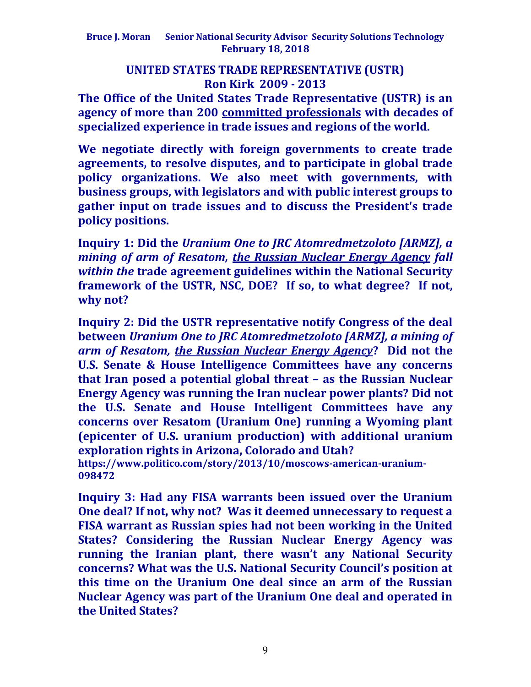## **UNITED STATES TRADE REPRESENTATIVE (USTR) Ron Kirk 2009 - 2013**

**The Office of the United States Trade Representative (USTR) is an agency of more than 200 [committed professionals](https://ustr.gov/about-us/biographies-key-officials) with decades of specialized experience in trade issues and regions of the world.**

**We negotiate directly with foreign governments to create trade agreements, to resolve disputes, and to participate in global trade policy organizations. We also meet with governments, with business groups, with legislators and with public interest groups to gather input on trade issues and to discuss the President's trade policy positions.**

**Inquiry 1: Did the** *Uranium One to JRC Atomredmetzoloto [ARMZ], a mining of arm of Resatom, the Russian Nuclear Energy Agency fall within the* **trade agreement guidelines within the National Security framework of the USTR, NSC, DOE? If so, to what degree? If not, why not?**

**Inquiry 2: Did the USTR representative notify Congress of the deal between** *Uranium One to JRC Atomredmetzoloto [ARMZ], a mining of arm of Resatom, the Russian Nuclear Energy Agency***? Did not the U.S. Senate & House Intelligence Committees have any concerns that Iran posed a potential global threat – as the Russian Nuclear Energy Agency was running the Iran nuclear power plants? Did not the U.S. Senate and House Intelligent Committees have any concerns over Resatom (Uranium One) running a Wyoming plant (epicenter of U.S. uranium production) with additional uranium exploration rights in Arizona, Colorado and Utah?**

**https://www.politico.com/story/2013/10/moscows-american-uranium-098472**

**Inquiry 3: Had any FISA warrants been issued over the Uranium One deal? If not, why not? Was it deemed unnecessary to request a FISA warrant as Russian spies had not been working in the United States? Considering the Russian Nuclear Energy Agency was running the Iranian plant, there wasn't any National Security concerns? What was the U.S. National Security Council's position at this time on the Uranium One deal since an arm of the Russian Nuclear Agency was part of the Uranium One deal and operated in the United States?**